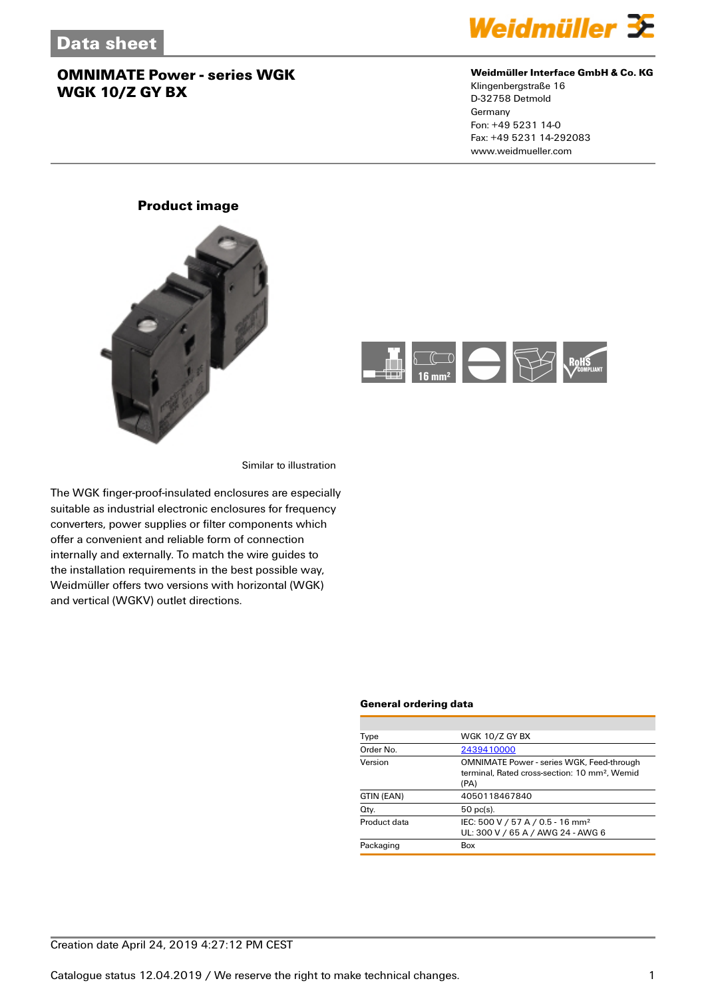

#### **Weidmüller Interface GmbH & Co. KG**

Klingenbergstraße 16 D-32758 Detmold Germany Fon: +49 5231 14-0 Fax: +49 5231 14-292083 www.weidmueller.com

### **Product image**





Similar to illustration

The WGK finger-proof-insulated enclosures are especially suitable as industrial electronic enclosures for frequency converters, power supplies or filter components which offer a convenient and reliable form of connection internally and externally. To match the wire guides to the installation requirements in the best possible way, Weidmüller offers two versions with horizontal (WGK) and vertical (WGKV) outlet directions.

#### **General ordering data**

| WGK 10/Z GY BX                                                                                                        |
|-----------------------------------------------------------------------------------------------------------------------|
| 2439410000                                                                                                            |
| <b>OMNIMATE Power - series WGK, Feed-through</b><br>terminal. Rated cross-section: 10 mm <sup>2</sup> . Wemid<br>(PA) |
| 4050118467840                                                                                                         |
| $50$ pc(s).                                                                                                           |
| IEC: 500 V / 57 A / 0.5 - 16 mm <sup>2</sup><br>UL: 300 V / 65 A / AWG 24 - AWG 6                                     |
| Box                                                                                                                   |
|                                                                                                                       |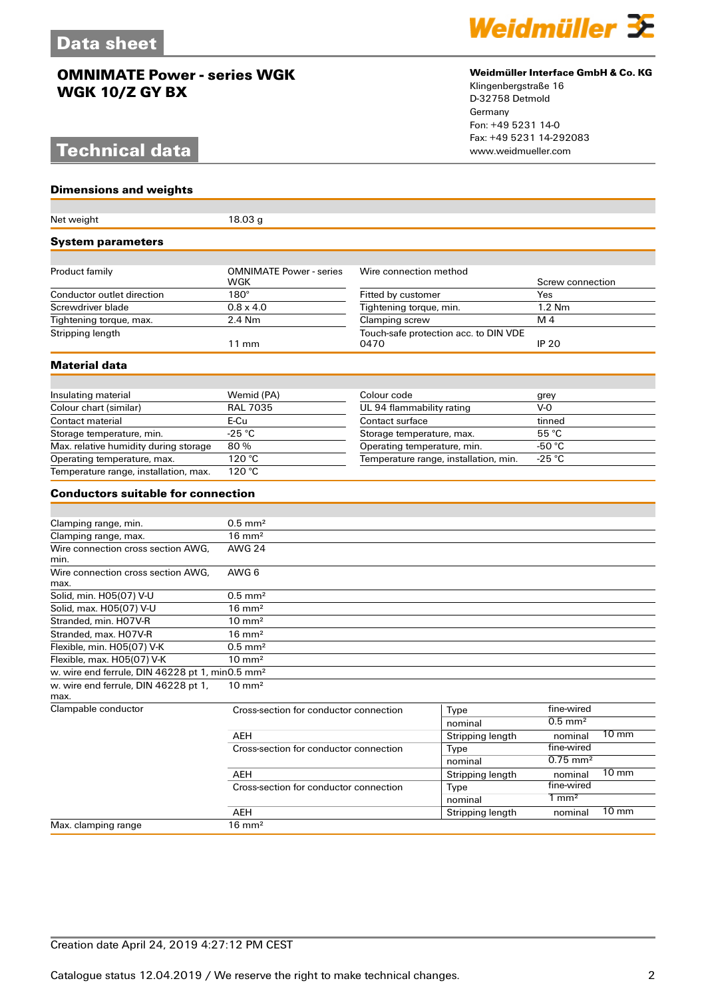# **Technical data**

**Dimensions and weights**



#### **Weidmüller Interface GmbH & Co. KG**

Klingenbergstraße 16 D-32758 Detmold Germany Fon: +49 5231 14-0 Fax: +49 5231 14-292083

| Net weight                                                           | 18.03 g                                |                                       |                                       |                        |                 |
|----------------------------------------------------------------------|----------------------------------------|---------------------------------------|---------------------------------------|------------------------|-----------------|
| <b>System parameters</b>                                             |                                        |                                       |                                       |                        |                 |
|                                                                      |                                        |                                       |                                       |                        |                 |
| Product family                                                       | <b>OMNIMATE Power - series</b><br>WGK  | Wire connection method                |                                       | Screw connection       |                 |
| Conductor outlet direction                                           | $180^\circ$                            | Fitted by customer                    |                                       | Yes                    |                 |
| Screwdriver blade                                                    | $0.8 \times 4.0$                       | Tightening torque, min.               |                                       | 1.2 Nm                 |                 |
| Tightening torque, max.                                              | 2.4 Nm                                 | Clamping screw                        |                                       | M <sub>4</sub>         |                 |
| Stripping length                                                     | $11 \text{ mm}$                        | 0470                                  | Touch-safe protection acc. to DIN VDE | <b>IP 20</b>           |                 |
| <b>Material data</b>                                                 |                                        |                                       |                                       |                        |                 |
|                                                                      |                                        |                                       |                                       |                        |                 |
| Insulating material                                                  | Wemid (PA)                             | Colour code                           |                                       | grey                   |                 |
| Colour chart (similar)                                               | <b>RAL 7035</b>                        | UL 94 flammability rating             |                                       | $V-0$                  |                 |
| Contact material                                                     | E-Cu                                   | Contact surface                       |                                       | tinned                 |                 |
| Storage temperature, min.                                            | $-25 °C$                               | Storage temperature, max.             |                                       | 55 °C                  |                 |
| Max. relative humidity during storage                                | 80%                                    | Operating temperature, min.           |                                       | -50 °C                 |                 |
| Operating temperature, max.<br>Temperature range, installation, max. | 120 °C<br>120 °C                       | Temperature range, installation, min. |                                       | -25 °C                 |                 |
|                                                                      |                                        |                                       |                                       |                        |                 |
| <b>Conductors suitable for connection</b>                            |                                        |                                       |                                       |                        |                 |
|                                                                      |                                        |                                       |                                       |                        |                 |
| Clamping range, min.                                                 | $0.5$ mm <sup>2</sup>                  |                                       |                                       |                        |                 |
| Clamping range, max.                                                 | $16 \text{ mm}^2$                      |                                       |                                       |                        |                 |
| Wire connection cross section AWG,<br>min.                           | <b>AWG 24</b>                          |                                       |                                       |                        |                 |
| Wire connection cross section AWG.<br>max.                           | AWG 6                                  |                                       |                                       |                        |                 |
| Solid, min. H05(07) V-U                                              | $0.5$ mm <sup>2</sup>                  |                                       |                                       |                        |                 |
| Solid, max. H05(07) V-U                                              | $16 \text{ mm}^2$                      |                                       |                                       |                        |                 |
| Stranded, min. H07V-R                                                | $10 \text{ mm}^2$                      |                                       |                                       |                        |                 |
| Stranded, max. H07V-R                                                | $16 \text{ mm}^2$                      |                                       |                                       |                        |                 |
| Flexible, min. H05(07) V-K                                           | $0.5$ mm <sup>2</sup>                  |                                       |                                       |                        |                 |
| Flexible, max. H05(07) V-K                                           | $10 \text{ mm}^2$                      |                                       |                                       |                        |                 |
| w. wire end ferrule, DIN 46228 pt 1, min0.5 mm <sup>2</sup>          |                                        |                                       |                                       |                        |                 |
| w. wire end ferrule, DIN 46228 pt 1,<br>max.                         | $10 \text{ mm}^2$                      |                                       |                                       |                        |                 |
| Clampable conductor                                                  | Cross-section for conductor connection |                                       | Type                                  | fine-wired             |                 |
|                                                                      |                                        |                                       | nominal                               | $0.5$ mm <sup>2</sup>  |                 |
|                                                                      | AEH                                    |                                       | <b>Stripping length</b>               | nominal                | $10 \text{ mm}$ |
| Cross-section for conductor connection                               |                                        | Type                                  | fine-wired                            |                        |                 |
|                                                                      |                                        |                                       | nominal                               | $0.75$ mm <sup>2</sup> |                 |
|                                                                      | AEH                                    |                                       | Stripping length                      | nominal                | $10 \text{ mm}$ |
|                                                                      | Cross-section for conductor connection |                                       | Type                                  | fine-wired             |                 |
|                                                                      |                                        |                                       | nominal                               | $1 \text{ mm}^2$       |                 |
|                                                                      | AEH                                    |                                       | Stripping length                      | nominal                | $10 \text{ mm}$ |
| Max. clamping range                                                  | $16 \text{ mm}^2$                      |                                       |                                       |                        |                 |

### Creation date April 24, 2019 4:27:12 PM CEST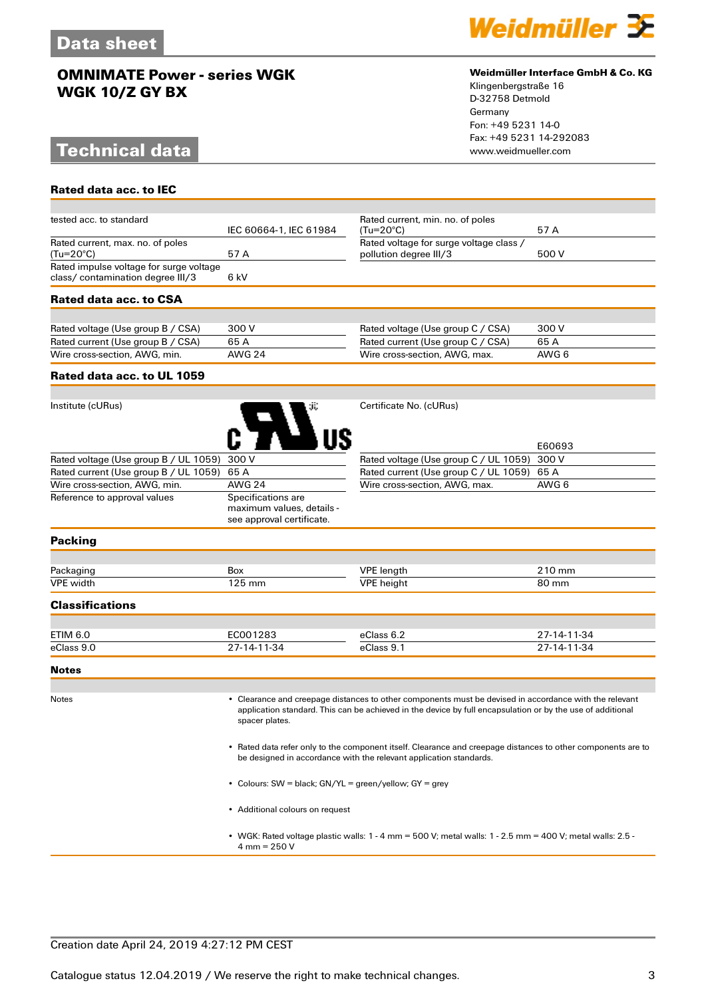# **Technical data**

**Rated data acc. to IEC**



#### **Weidmüller Interface GmbH & Co. KG**

Klingenbergstraße 16 D-32758 Detmold Germany Fon: +49 5231 14-0 Fax: +49 5231 14-292083

| tested acc. to standard                                                      | IEC 60664-1, IEC 61984                                                       | Rated current, min. no. of poles<br>$(Tu=20^{\circ}C)$            | 57 A   |
|------------------------------------------------------------------------------|------------------------------------------------------------------------------|-------------------------------------------------------------------|--------|
| Rated current, max. no. of poles<br>(Tu=20°C)                                | 57A                                                                          | Rated voltage for surge voltage class /<br>pollution degree III/3 | 500 V  |
| Rated impulse voltage for surge voltage<br>class/ contamination degree III/3 | 6 kV                                                                         |                                                                   |        |
| Rated data acc. to CSA                                                       |                                                                              |                                                                   |        |
|                                                                              |                                                                              |                                                                   |        |
| Rated voltage (Use group B / CSA)                                            | 300 V                                                                        | Rated voltage (Use group C / CSA)                                 | 300 V  |
| Rated current (Use group B / CSA)                                            | 65A                                                                          | Rated current (Use group C / CSA)                                 | 65A    |
| Wire cross-section, AWG, min.                                                | <b>AWG 24</b>                                                                | Wire cross-section, AWG, max.                                     | AWG 6  |
| Rated data acc. to UL 1059                                                   |                                                                              |                                                                   |        |
|                                                                              |                                                                              |                                                                   |        |
| Institute (cURus)                                                            |                                                                              | Certificate No. (cURus)                                           |        |
|                                                                              |                                                                              |                                                                   | E60693 |
| Rated voltage (Use group B / UL 1059)                                        | 300 V                                                                        | Rated voltage (Use group C / UL 1059)                             | 300 V  |
| Rated current (Use group B / UL 1059)                                        | 65 A                                                                         | Rated current (Use group C / UL 1059)                             | 65 A   |
| Wire cross-section, AWG, min.                                                | <b>AWG 24</b>                                                                | Wire cross-section, AWG, max.                                     | AWG 6  |
| Reference to approval values                                                 | Specifications are<br>maximum values, details -<br>see approval certificate. |                                                                   |        |
| <b>Packing</b>                                                               |                                                                              |                                                                   |        |
|                                                                              |                                                                              |                                                                   |        |
| Packaging                                                                    | Box                                                                          | <b>VPE</b> length                                                 | 210 mm |
| <b>VPE</b> width                                                             | 125 mm                                                                       | <b>VPE</b> height                                                 | 80 mm  |
| <b>Classifications</b>                                                       |                                                                              |                                                                   |        |
|                                                                              |                                                                              |                                                                   |        |

| ETIM 6.0 | 711 | .   |     |
|----------|-----|-----|-----|
| eClass   | -34 | 000 | 1 A |

**Notes**

Notes • Clearance and creepage distances to other components must be devised in accordance with the relevant application standard. This can be achieved in the device by full encapsulation or by the use of additional spacer plates.

> • Rated data refer only to the component itself. Clearance and creepage distances to other components are to be designed in accordance with the relevant application standards.

• Colours: SW = black; GN/YL = green/yellow; GY = grey

• Additional colours on request

• WGK: Rated voltage plastic walls: 1 - 4 mm = 500 V; metal walls: 1 - 2.5 mm = 400 V; metal walls: 2.5 - 4 mm = 250 V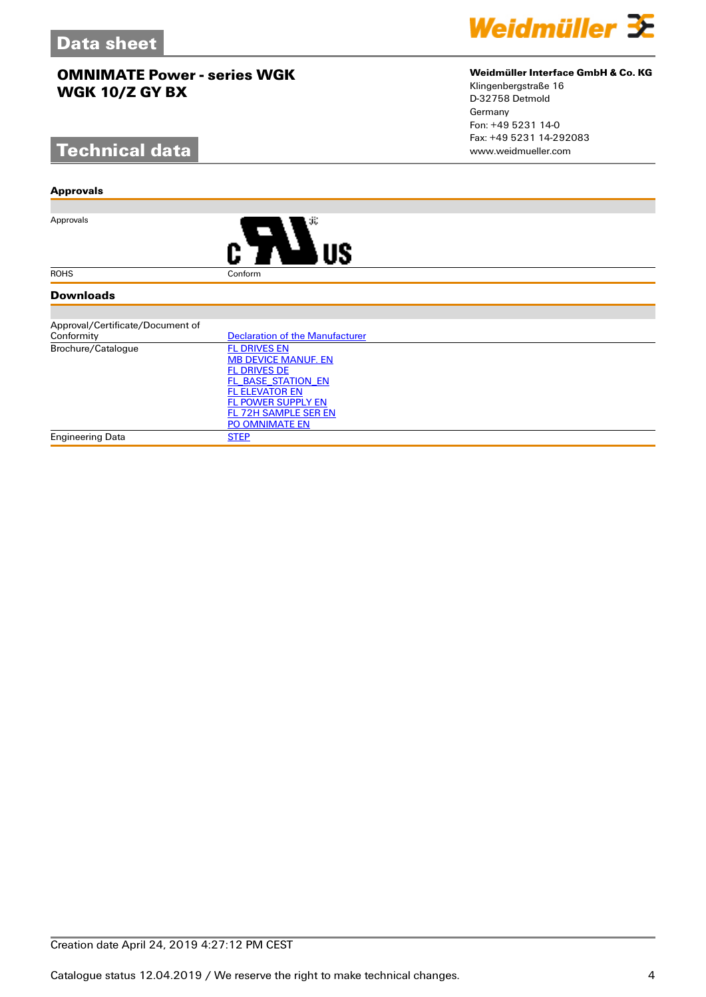# **Technical data**

#### **Approvals**

Approvals



#### **Downloads**

| Approval/Certificate/Document of |                                 |
|----------------------------------|---------------------------------|
| Conformity                       | Declaration of the Manufacturer |
| Brochure/Catalogue               | <b>FL DRIVES EN</b>             |
|                                  | <b>MB DEVICE MANUF. EN</b>      |
|                                  | <b>FL DRIVES DE</b>             |
|                                  | FL BASE STATION EN              |
|                                  | <b>FL ELEVATOR EN</b>           |
|                                  | <b>FL POWER SUPPLY EN</b>       |
|                                  | FL 72H SAMPLE SER EN            |
|                                  | <b>PO OMNIMATE EN</b>           |
| <b>Engineering Data</b>          | <b>STEP</b>                     |

### **Weidmüller Interface GmbH & Co. KG**

Klingenbergstraße 16 D-32758 Detmold Germany Fon: +49 5231 14-0 Fax: +49 5231 14-292083